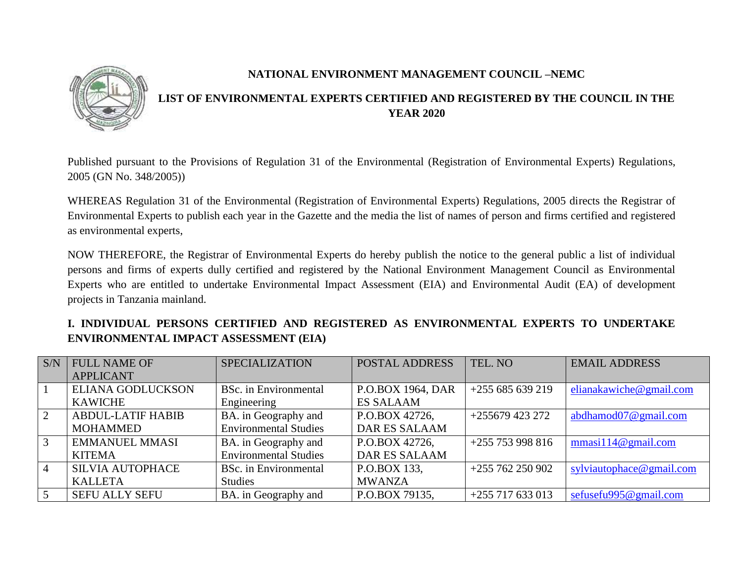

### **NATIONAL ENVIRONMENT MANAGEMENT COUNCIL –NEMC**

# **LIST OF ENVIRONMENTAL EXPERTS CERTIFIED AND REGISTERED BY THE COUNCIL IN THE YEAR 2020**

Published pursuant to the Provisions of Regulation 31 of the Environmental (Registration of Environmental Experts) Regulations, 2005 (GN No. 348/2005))

WHEREAS Regulation 31 of the Environmental (Registration of Environmental Experts) Regulations, 2005 directs the Registrar of Environmental Experts to publish each year in the Gazette and the media the list of names of person and firms certified and registered as environmental experts,

NOW THEREFORE, the Registrar of Environmental Experts do hereby publish the notice to the general public a list of individual persons and firms of experts dully certified and registered by the National Environment Management Council as Environmental Experts who are entitled to undertake Environmental Impact Assessment (EIA) and Environmental Audit (EA) of development projects in Tanzania mainland.

|                                              |  |  | I. INDIVIDUAL PERSONS CERTIFIED AND REGISTERED AS ENVIRONMENTAL EXPERTS TO UNDERTAKE |  |  |
|----------------------------------------------|--|--|--------------------------------------------------------------------------------------|--|--|
| <b>ENVIRONMENTAL IMPACT ASSESSMENT (EIA)</b> |  |  |                                                                                      |  |  |

| S/N            | <b>FULL NAME OF</b>      | <b>SPECIALIZATION</b>        | POSTAL ADDRESS       | TEL. NO            | <b>EMAIL ADDRESS</b>     |
|----------------|--------------------------|------------------------------|----------------------|--------------------|--------------------------|
|                | <b>APPLICANT</b>         |                              |                      |                    |                          |
|                | ELIANA GODLUCKSON        | <b>BSc.</b> in Environmental | P.O.BOX 1964, DAR    | $+255685639219$    | elianakawiche@gmail.com  |
|                | <b>KAWICHE</b>           | Engineering                  | <b>ES SALAAM</b>     |                    |                          |
| 2              | <b>ABDUL-LATIF HABIB</b> | BA. in Geography and         | P.O.BOX 42726,       | $+255679423272$    | abdhamod07@gmail.com     |
|                | <b>MOHAMMED</b>          | <b>Environmental Studies</b> | <b>DAR ES SALAAM</b> |                    |                          |
| 3              | <b>EMMANUEL MMASI</b>    | BA. in Geography and         | P.O.BOX 42726,       | $+255$ 753 998 816 | mmasi114@gmail.com       |
|                | <b>KITEMA</b>            | <b>Environmental Studies</b> | <b>DAR ES SALAAM</b> |                    |                          |
| $\overline{4}$ | <b>SILVIA AUTOPHACE</b>  | <b>BSc.</b> in Environmental | P.O.BOX 133,         | $+255762250902$    | sylviautophace@gmail.com |
|                | <b>KALLETA</b>           | <b>Studies</b>               | <b>MWANZA</b>        |                    |                          |
| $\overline{5}$ | <b>SEFU ALLY SEFU</b>    | BA. in Geography and         | P.O.BOX 79135,       | $+255$ 717 633 013 | sefusefu995@gmail.com    |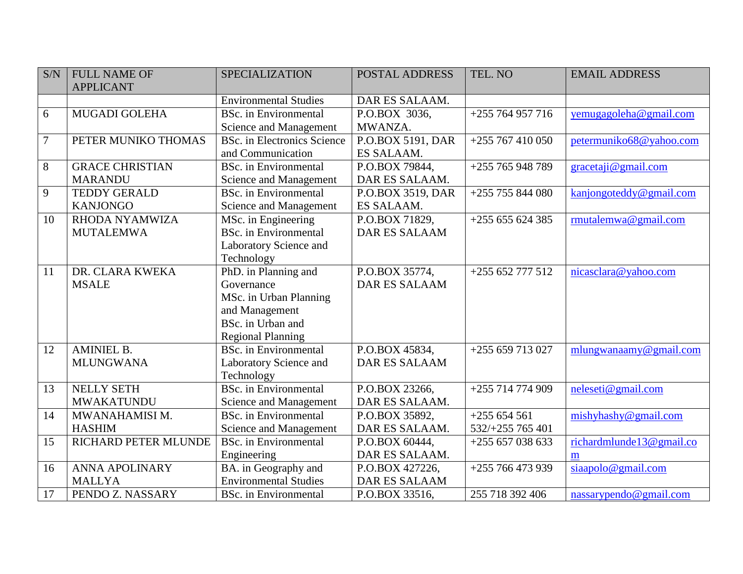| S/N    | <b>FULL NAME OF</b>    | <b>SPECIALIZATION</b>        | <b>POSTAL ADDRESS</b> | TEL. NO            | <b>EMAIL ADDRESS</b>     |
|--------|------------------------|------------------------------|-----------------------|--------------------|--------------------------|
|        | <b>APPLICANT</b>       |                              |                       |                    |                          |
|        |                        | <b>Environmental Studies</b> | DAR ES SALAAM.        |                    |                          |
| 6      | <b>MUGADI GOLEHA</b>   | <b>BSc.</b> in Environmental | P.O.BOX 3036,         | $+255764957716$    | yemugagoleha@gmail.com   |
|        |                        | Science and Management       | MWANZA.               |                    |                          |
| $\tau$ | PETER MUNIKO THOMAS    | BSc. in Electronics Science  | P.O.BOX 5191, DAR     | $+255767410050$    | petermuniko68@yahoo.com  |
|        |                        | and Communication            | ES SALAAM.            |                    |                          |
| 8      | <b>GRACE CHRISTIAN</b> | <b>BSc.</b> in Environmental | P.O.BOX 79844,        | +255 765 948 789   | gracetaji@gmail.com      |
|        | <b>MARANDU</b>         | Science and Management       | DAR ES SALAAM.        |                    |                          |
| 9      | <b>TEDDY GERALD</b>    | <b>BSc.</b> in Environmental | P.O.BOX 3519, DAR     | $+255$ 755 844 080 | kanjongoteddy@gmail.com  |
|        | <b>KANJONGO</b>        | Science and Management       | ES SALAAM.            |                    |                          |
| 10     | RHODA NYAMWIZA         | MSc. in Engineering          | P.O.BOX 71829,        | $+255655624385$    | rmutalemwa@gmail.com     |
|        | <b>MUTALEMWA</b>       | <b>BSc.</b> in Environmental | <b>DAR ES SALAAM</b>  |                    |                          |
|        |                        | Laboratory Science and       |                       |                    |                          |
|        |                        | Technology                   |                       |                    |                          |
| 11     | DR. CLARA KWEKA        | PhD. in Planning and         | P.O.BOX 35774,        | +255 652 777 512   | nicasclara@yahoo.com     |
|        | <b>MSALE</b>           | Governance                   | <b>DAR ES SALAAM</b>  |                    |                          |
|        |                        | MSc. in Urban Planning       |                       |                    |                          |
|        |                        | and Management               |                       |                    |                          |
|        |                        | BSc. in Urban and            |                       |                    |                          |
|        |                        | <b>Regional Planning</b>     |                       |                    |                          |
| 12     | <b>AMINIEL B.</b>      | <b>BSc.</b> in Environmental | P.O.BOX 45834,        | +255 659 713 027   | mlungwanaamy@gmail.com   |
|        | <b>MLUNGWANA</b>       | Laboratory Science and       | <b>DAR ES SALAAM</b>  |                    |                          |
|        |                        | Technology                   |                       |                    |                          |
| 13     | NELLY SETH             | <b>BSc.</b> in Environmental | P.O.BOX 23266,        | +255 714 774 909   | neleseti@gmail.com       |
|        | <b>MWAKATUNDU</b>      | Science and Management       | DAR ES SALAAM.        |                    |                          |
| 14     | MWANAHAMISI M.         | <b>BSc.</b> in Environmental | P.O.BOX 35892,        | $+255654561$       | mishyhashy@gmail.com     |
|        | <b>HASHIM</b>          | Science and Management       | DAR ES SALAAM.        | 532/+255 765 401   |                          |
| 15     | RICHARD PETER MLUNDE   | <b>BSc.</b> in Environmental | P.O.BOX 60444,        | $+255657038633$    | richardmlunde13@gmail.co |
|        |                        | Engineering                  | DAR ES SALAAM.        |                    | m                        |
| 16     | <b>ANNA APOLINARY</b>  | BA. in Geography and         | P.O.BOX 427226,       | +255 766 473 939   | siaapolo@gmail.com       |
|        | <b>MALLYA</b>          | <b>Environmental Studies</b> | <b>DAR ES SALAAM</b>  |                    |                          |
| 17     | PENDO Z. NASSARY       | <b>BSc.</b> in Environmental | P.O.BOX 33516,        | 255 718 392 406    | nassarypendo@gmail.com   |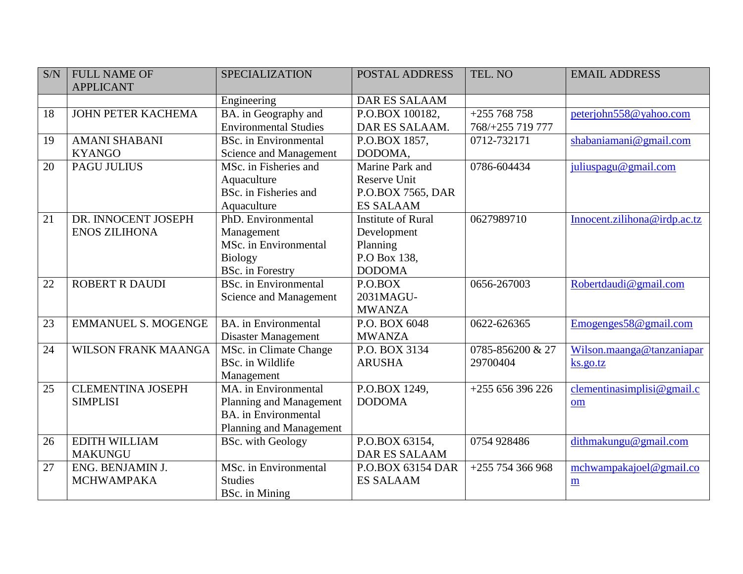| S/N | <b>FULL NAME OF</b>        | <b>SPECIALIZATION</b>        | <b>POSTAL ADDRESS</b>     | TEL. NO            | <b>EMAIL ADDRESS</b>         |
|-----|----------------------------|------------------------------|---------------------------|--------------------|------------------------------|
|     | <b>APPLICANT</b>           |                              |                           |                    |                              |
|     |                            | Engineering                  | <b>DAR ES SALAAM</b>      |                    |                              |
| 18  | JOHN PETER KACHEMA         | BA. in Geography and         | P.O.BOX 100182,           | $+255768758$       | peterjohn558@yahoo.com       |
|     |                            | <b>Environmental Studies</b> | DAR ES SALAAM.            | 768/+255 719 777   |                              |
| 19  | <b>AMANI SHABANI</b>       | <b>BSc.</b> in Environmental | P.O.BOX 1857,             | 0712-732171        | shabaniamani@gmail.com       |
|     | <b>KYANGO</b>              | Science and Management       | DODOMA,                   |                    |                              |
| 20  | <b>PAGU JULIUS</b>         | MSc. in Fisheries and        | Marine Park and           | 0786-604434        | juliuspagu@gmail.com         |
|     |                            | Aquaculture                  | <b>Reserve Unit</b>       |                    |                              |
|     |                            | BSc. in Fisheries and        | P.O.BOX 7565, DAR         |                    |                              |
|     |                            | Aquaculture                  | <b>ES SALAAM</b>          |                    |                              |
| 21  | DR. INNOCENT JOSEPH        | PhD. Environmental           | <b>Institute of Rural</b> | 0627989710         | Innocent.zilihona@irdp.ac.tz |
|     | <b>ENOS ZILIHONA</b>       | Management                   | Development               |                    |                              |
|     |                            | MSc. in Environmental        | Planning                  |                    |                              |
|     |                            | <b>Biology</b>               | P.O Box 138,              |                    |                              |
|     |                            | <b>BSc.</b> in Forestry      | <b>DODOMA</b>             |                    |                              |
| 22  | <b>ROBERT R DAUDI</b>      | <b>BSc.</b> in Environmental | P.O.BOX                   | 0656-267003        | Robertdaudi@gmail.com        |
|     |                            | Science and Management       | 2031MAGU-                 |                    |                              |
|     |                            |                              | <b>MWANZA</b>             |                    |                              |
| 23  | <b>EMMANUEL S. MOGENGE</b> | <b>BA</b> , in Environmental | P.O. BOX 6048             | 0622-626365        | Emogenges 58@ gmail.com      |
|     |                            | Disaster Management          | <b>MWANZA</b>             |                    |                              |
| 24  | <b>WILSON FRANK MAANGA</b> | MSc. in Climate Change       | P.O. BOX 3134             | 0785-856200 & 27   | Wilson.maanga@tanzaniapar    |
|     |                            | BSc. in Wildlife             | <b>ARUSHA</b>             | 29700404           | ks.gov.tz                    |
|     |                            | Management                   |                           |                    |                              |
| 25  | <b>CLEMENTINA JOSEPH</b>   | MA, in Environmental         | P.O.BOX 1249,             | $+255656396226$    | clementinasimplisi@gmail.c   |
|     | <b>SIMPLISI</b>            | Planning and Management      | <b>DODOMA</b>             |                    | om                           |
|     |                            | <b>BA.</b> in Environmental  |                           |                    |                              |
|     |                            | Planning and Management      |                           |                    |                              |
| 26  | <b>EDITH WILLIAM</b>       | <b>BSc.</b> with Geology     | P.O.BOX 63154,            | 0754 928486        | dithmakungu@gmail.com        |
|     | <b>MAKUNGU</b>             |                              | <b>DAR ES SALAAM</b>      |                    |                              |
| 27  | ENG. BENJAMIN J.           | MSc. in Environmental        | P.O.BOX 63154 DAR         | $+255$ 754 366 968 | mchwampakajoel@gmail.co      |
|     | <b>MCHWAMPAKA</b>          | <b>Studies</b>               | <b>ES SALAAM</b>          |                    | $\underline{\mathbf{m}}$     |
|     |                            | BSc. in Mining               |                           |                    |                              |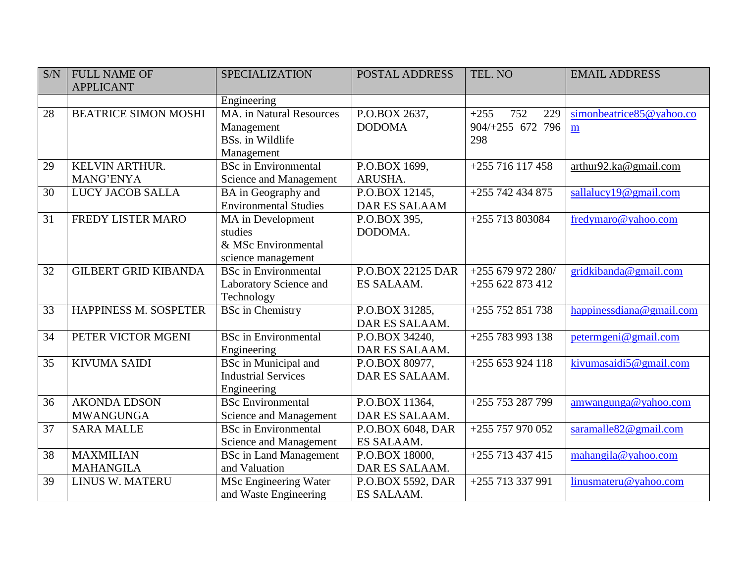| S/N | <b>FULL NAME OF</b>          | <b>SPECIALIZATION</b>           | <b>POSTAL ADDRESS</b>    | TEL. NO              | <b>EMAIL ADDRESS</b>     |
|-----|------------------------------|---------------------------------|--------------------------|----------------------|--------------------------|
|     | <b>APPLICANT</b>             |                                 |                          |                      |                          |
|     |                              | Engineering                     |                          |                      |                          |
| 28  | <b>BEATRICE SIMON MOSHI</b>  | <b>MA.</b> in Natural Resources | P.O.BOX 2637,            | 752<br>$+255$<br>229 | simonbeatrice85@yahoo.co |
|     |                              | Management                      | <b>DODOMA</b>            | 904/+255 672 796     | m                        |
|     |                              | BSs. in Wildlife                |                          | 298                  |                          |
|     |                              | Management                      |                          |                      |                          |
| 29  | KELVIN ARTHUR.               | <b>BSc</b> in Environmental     | P.O.BOX 1699,            | +255 716 117 458     | arthur92.ka@gmail.com    |
|     | MANG'ENYA                    | Science and Management          | ARUSHA.                  |                      |                          |
| 30  | LUCY JACOB SALLA             | BA in Geography and             | P.O.BOX 12145,           | +255 742 434 875     | sallalucy19@gmail.com    |
|     |                              | <b>Environmental Studies</b>    | <b>DAR ES SALAAM</b>     |                      |                          |
| 31  | FREDY LISTER MARO            | MA in Development               | P.O.BOX 395,             | +255 713 803084      | fredymaro@yahoo.com      |
|     |                              | studies                         | DODOMA.                  |                      |                          |
|     |                              | & MSc Environmental             |                          |                      |                          |
|     |                              | science management              |                          |                      |                          |
| 32  | <b>GILBERT GRID KIBANDA</b>  | <b>BSc</b> in Environmental     | <b>P.O.BOX 22125 DAR</b> | $+255679972280/$     | gridkibanda@gmail.com    |
|     |                              | Laboratory Science and          | ES SALAAM.               | $+255622873412$      |                          |
|     |                              | Technology                      |                          |                      |                          |
| 33  | <b>HAPPINESS M. SOSPETER</b> | <b>BSc</b> in Chemistry         | P.O.BOX 31285,           | +255 752 851 738     | happinessdiana@gmail.com |
|     |                              |                                 | DAR ES SALAAM.           |                      |                          |
| 34  | PETER VICTOR MGENI           | <b>BSc</b> in Environmental     | P.O.BOX 34240,           | +255 783 993 138     | petermgeni@gmail.com     |
|     |                              | Engineering                     | DAR ES SALAAM.           |                      |                          |
| 35  | <b>KIVUMA SAIDI</b>          | <b>BSc</b> in Municipal and     | P.O.BOX 80977,           | $+255653924118$      | kivumasaidi5@gmail.com   |
|     |                              | <b>Industrial Services</b>      | DAR ES SALAAM.           |                      |                          |
|     |                              | Engineering                     |                          |                      |                          |
| 36  | <b>AKONDA EDSON</b>          | <b>BSc Environmental</b>        | P.O.BOX 11364,           | +255 753 287 799     | amwangunga@yahoo.com     |
|     | <b>MWANGUNGA</b>             | Science and Management          | DAR ES SALAAM.           |                      |                          |
| 37  | <b>SARA MALLE</b>            | <b>BSc</b> in Environmental     | P.O.BOX 6048, DAR        | +255 757 970 052     | saramalle82@gmail.com    |
|     |                              | Science and Management          | ES SALAAM.               |                      |                          |
| 38  | <b>MAXMILIAN</b>             | <b>BSc in Land Management</b>   | P.O.BOX 18000,           | +255 713 437 415     | mahangila@yahoo.com      |
|     | <b>MAHANGILA</b>             | and Valuation                   | DAR ES SALAAM.           |                      |                          |
| 39  | LINUS W. MATERU              | MSc Engineering Water           | P.O.BOX 5592, DAR        | +255 713 337 991     | linusmateru@yahoo.com    |
|     |                              | and Waste Engineering           | ES SALAAM.               |                      |                          |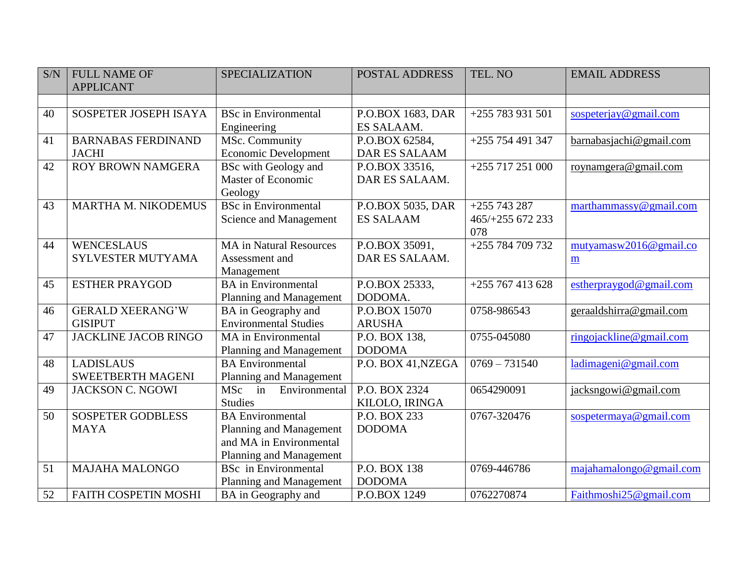| S/N | <b>FULL NAME OF</b>         | <b>SPECIALIZATION</b>          | <b>POSTAL ADDRESS</b> | TEL. NO            | <b>EMAIL ADDRESS</b>                |
|-----|-----------------------------|--------------------------------|-----------------------|--------------------|-------------------------------------|
|     | <b>APPLICANT</b>            |                                |                       |                    |                                     |
|     |                             |                                |                       |                    |                                     |
| 40  | SOSPETER JOSEPH ISAYA       | <b>BSc</b> in Environmental    | P.O.BOX 1683, DAR     | $+255783931501$    | sospeterjay@gmail.com               |
|     |                             | Engineering                    | ES SALAAM.            |                    |                                     |
| 41  | <b>BARNABAS FERDINAND</b>   | MSc. Community                 | P.O.BOX 62584,        | $+255$ 754 491 347 | barnabasjachi@gmail.com             |
|     | <b>JACHI</b>                | <b>Economic Development</b>    | <b>DAR ES SALAAM</b>  |                    |                                     |
| 42  | <b>ROY BROWN NAMGERA</b>    | <b>BSc</b> with Geology and    | P.O.BOX 33516,        | +255 717 251 000   | roynamgera@gmail.com                |
|     |                             | Master of Economic             | DAR ES SALAAM.        |                    |                                     |
|     |                             | Geology                        |                       |                    |                                     |
| 43  | MARTHA M. NIKODEMUS         | <b>BSc</b> in Environmental    | P.O.BOX 5035, DAR     | $+255743287$       | marthammassy@gmail.com              |
|     |                             | Science and Management         | <b>ES SALAAM</b>      | 465/+255 672 233   |                                     |
|     |                             |                                |                       | 078                |                                     |
| 44  | <b>WENCESLAUS</b>           | <b>MA</b> in Natural Resources | P.O.BOX 35091,        | $+255784709732$    | $\frac{mutyamasw2016@gmail.co}{dt}$ |
|     | <b>SYLVESTER MUTYAMA</b>    | Assessment and                 | DAR ES SALAAM.        |                    | $\underline{\mathbf{m}}$            |
|     |                             | Management                     |                       |                    |                                     |
| 45  | <b>ESTHER PRAYGOD</b>       | <b>BA</b> in Environmental     | P.O.BOX 25333,        | $+255767413628$    | estherpraygod@gmail.com             |
|     |                             | Planning and Management        | DODOMA.               |                    |                                     |
| 46  | <b>GERALD XEERANG'W</b>     | BA in Geography and            | P.O.BOX 15070         | 0758-986543        | geraaldshirra@gmail.com             |
|     | <b>GISIPUT</b>              | <b>Environmental Studies</b>   | <b>ARUSHA</b>         |                    |                                     |
| 47  | <b>JACKLINE JACOB RINGO</b> | <b>MA</b> in Environmental     | P.O. BOX 138,         | 0755-045080        | ringojackline@gmail.com             |
|     |                             | <b>Planning and Management</b> | <b>DODOMA</b>         |                    |                                     |
| 48  | <b>LADISLAUS</b>            | <b>BA</b> Environmental        | P.O. BOX 41, NZEGA    | $0769 - 731540$    | ladimageni@gmail.com                |
|     | <b>SWEETBERTH MAGENI</b>    | Planning and Management        |                       |                    |                                     |
| 49  | <b>JACKSON C. NGOWI</b>     | MSc in<br>Environmental        | P.O. BOX 2324         | 0654290091         | jacksngowi@gmail.com                |
|     |                             | <b>Studies</b>                 | KILOLO, IRINGA        |                    |                                     |
| 50  | <b>SOSPETER GODBLESS</b>    | <b>BA</b> Environmental        | P.O. BOX 233          | 0767-320476        | sospetermaya@gmail.com              |
|     | <b>MAYA</b>                 | <b>Planning and Management</b> | <b>DODOMA</b>         |                    |                                     |
|     |                             | and MA in Environmental        |                       |                    |                                     |
|     |                             | Planning and Management        |                       |                    |                                     |
| 51  | <b>MAJAHA MALONGO</b>       | <b>BSc</b> in Environmental    | P.O. BOX 138          | 0769-446786        | majahamalongo@gmail.com             |
|     |                             | Planning and Management        | <b>DODOMA</b>         |                    |                                     |
| 52  | FAITH COSPETIN MOSHI        | BA in Geography and            | P.O.BOX 1249          | 0762270874         | Faithmoshi25@gmail.com              |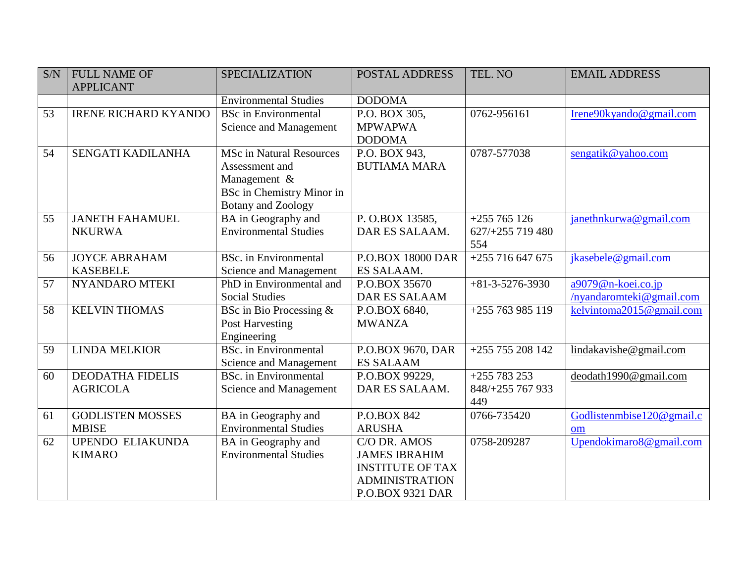| S/N             | <b>FULL NAME OF</b><br><b>APPLICANT</b>    | <b>SPECIALIZATION</b>                                                                                                       | <b>POSTAL ADDRESS</b>                                                                                               | TEL. NO                                 | <b>EMAIL ADDRESS</b>                           |
|-----------------|--------------------------------------------|-----------------------------------------------------------------------------------------------------------------------------|---------------------------------------------------------------------------------------------------------------------|-----------------------------------------|------------------------------------------------|
|                 |                                            | <b>Environmental Studies</b>                                                                                                | <b>DODOMA</b>                                                                                                       |                                         |                                                |
| 53              | <b>IRENE RICHARD KYANDO</b>                | <b>BSc</b> in Environmental<br>Science and Management                                                                       | P.O. BOX 305,<br><b>MPWAPWA</b><br><b>DODOMA</b>                                                                    | 0762-956161                             | Irene90kyando@gmail.com                        |
| 54              | SENGATI KADILANHA                          | <b>MSc in Natural Resources</b><br>Assessment and<br>Management &<br><b>BSc in Chemistry Minor in</b><br>Botany and Zoology | P.O. BOX 943,<br><b>BUTIAMA MARA</b>                                                                                | 0787-577038                             | sengatik@yahoo.com                             |
| 55              | <b>JANETH FAHAMUEL</b><br><b>NKURWA</b>    | BA in Geography and<br><b>Environmental Studies</b>                                                                         | P. O.BOX 13585,<br>DAR ES SALAAM.                                                                                   | $+255765126$<br>627/+255 719 480<br>554 | janethnkurwa@gmail.com                         |
| 56              | <b>JOYCE ABRAHAM</b><br><b>KASEBELE</b>    | <b>BSc.</b> in Environmental<br>Science and Management                                                                      | <b>P.O.BOX 18000 DAR</b><br>ES SALAAM.                                                                              | $+255716647675$                         | jkasebele@gmail.com                            |
| 57              | NYANDARO MTEKI                             | PhD in Environmental and<br><b>Social Studies</b>                                                                           | P.O.BOX 35670<br><b>DAR ES SALAAM</b>                                                                               | $+81-3-5276-3930$                       | a9079@n-koei.co.jp<br>/nyandaromteki@gmail.com |
| $\overline{58}$ | <b>KELVIN THOMAS</b>                       | BSc in Bio Processing $\&$<br>Post Harvesting<br>Engineering                                                                | P.O.BOX 6840,<br><b>MWANZA</b>                                                                                      | $+255763985119$                         | kelvintoma2015@gmail.com                       |
| 59              | <b>LINDA MELKIOR</b>                       | <b>BSc.</b> in Environmental<br>Science and Management                                                                      | P.O.BOX 9670, DAR<br><b>ES SALAAM</b>                                                                               | $+255755208142$                         | lindakavishe@gmail.com                         |
| 60              | <b>DEODATHA FIDELIS</b><br><b>AGRICOLA</b> | BSc. in Environmental<br>Science and Management                                                                             | P.O.BOX 99229,<br>DAR ES SALAAM.                                                                                    | $+255783253$<br>848/+255 767 933<br>449 | deodath1990@gmail.com                          |
| 61              | <b>GODLISTEN MOSSES</b><br><b>MBISE</b>    | BA in Geography and<br><b>Environmental Studies</b>                                                                         | P.O.BOX 842<br><b>ARUSHA</b>                                                                                        | 0766-735420                             | Godlistenmbise120@gmail.c<br>om                |
| 62              | UPENDO ELIAKUNDA<br><b>KIMARO</b>          | BA in Geography and<br><b>Environmental Studies</b>                                                                         | C/O DR. AMOS<br><b>JAMES IBRAHIM</b><br><b>INSTITUTE OF TAX</b><br><b>ADMINISTRATION</b><br><b>P.O.BOX 9321 DAR</b> | 0758-209287                             | Upendokimaro8@gmail.com                        |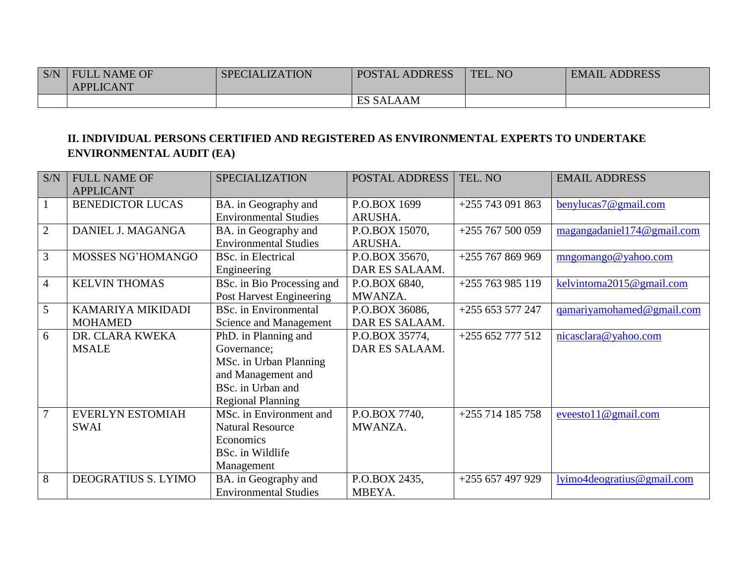| S/N | <b>FULL NAME OF</b> | <b>SPECIALIZATION</b> | <b>POSTAL ADDRESS</b> | TEL. NO | <b>EMAIL ADDRESS</b> |
|-----|---------------------|-----------------------|-----------------------|---------|----------------------|
|     | <b>APPLICANT</b>    |                       |                       |         |                      |
|     |                     |                       | <b>ES SALAAM</b>      |         |                      |

### **II. INDIVIDUAL PERSONS CERTIFIED AND REGISTERED AS ENVIRONMENTAL EXPERTS TO UNDERTAKE ENVIRONMENTAL AUDIT (EA)**

| S/N            | <b>FULL NAME OF</b>     | <b>SPECIALIZATION</b>           | POSTAL ADDRESS | TEL. NO            | <b>EMAIL ADDRESS</b>       |
|----------------|-------------------------|---------------------------------|----------------|--------------------|----------------------------|
|                | <b>APPLICANT</b>        |                                 |                |                    |                            |
| $\mathbf{1}$   | <b>BENEDICTOR LUCAS</b> | BA. in Geography and            | P.O.BOX 1699   | $+255743091863$    | benylucas7@gmail.com       |
|                |                         | <b>Environmental Studies</b>    | ARUSHA.        |                    |                            |
| $\overline{2}$ | DANIEL J. MAGANGA       | BA. in Geography and            | P.O.BOX 15070, | $+255$ 767 500 059 | magangadaniel174@gmail.com |
|                |                         | <b>Environmental Studies</b>    | ARUSHA.        |                    |                            |
| 3              | MOSSES NG'HOMANGO       | <b>BSc.</b> in Electrical       | P.O.BOX 35670, | $+255767869969$    | mngomango@yahoo.com        |
|                |                         | Engineering                     | DAR ES SALAAM. |                    |                            |
| $\overline{4}$ | <b>KELVIN THOMAS</b>    | BSc. in Bio Processing and      | P.O.BOX 6840,  | +255 763 985 119   | kelvintoma2015@gmail.com   |
|                |                         | <b>Post Harvest Engineering</b> | MWANZA.        |                    |                            |
| 5              | KAMARIYA MIKIDADI       | <b>BSc.</b> in Environmental    | P.O.BOX 36086, | $+255653577247$    | qamariyamohamed@gmail.com  |
|                | <b>MOHAMED</b>          | <b>Science and Management</b>   | DAR ES SALAAM. |                    |                            |
| 6              | DR. CLARA KWEKA         | PhD. in Planning and            | P.O.BOX 35774, | $+255652777512$    | nicasclara@yahoo.com       |
|                | <b>MSALE</b>            | Governance;                     | DAR ES SALAAM. |                    |                            |
|                |                         | MSc. in Urban Planning          |                |                    |                            |
|                |                         | and Management and              |                |                    |                            |
|                |                         | BSc. in Urban and               |                |                    |                            |
|                |                         | <b>Regional Planning</b>        |                |                    |                            |
| $\overline{7}$ | <b>EVERLYN ESTOMIAH</b> | MSc. in Environment and         | P.O.BOX 7740,  | $+255$ 714 185 758 | eveesto11@gmail.com        |
|                | <b>SWAI</b>             | <b>Natural Resource</b>         | MWANZA.        |                    |                            |
|                |                         | Economics                       |                |                    |                            |
|                |                         | BSc. in Wildlife                |                |                    |                            |
|                |                         | Management                      |                |                    |                            |
| 8              | DEOGRATIUS S. LYIMO     | BA. in Geography and            | P.O.BOX 2435,  | +255 657 497 929   | lyimo4deogratius@gmail.com |
|                |                         | <b>Environmental Studies</b>    | MBEYA.         |                    |                            |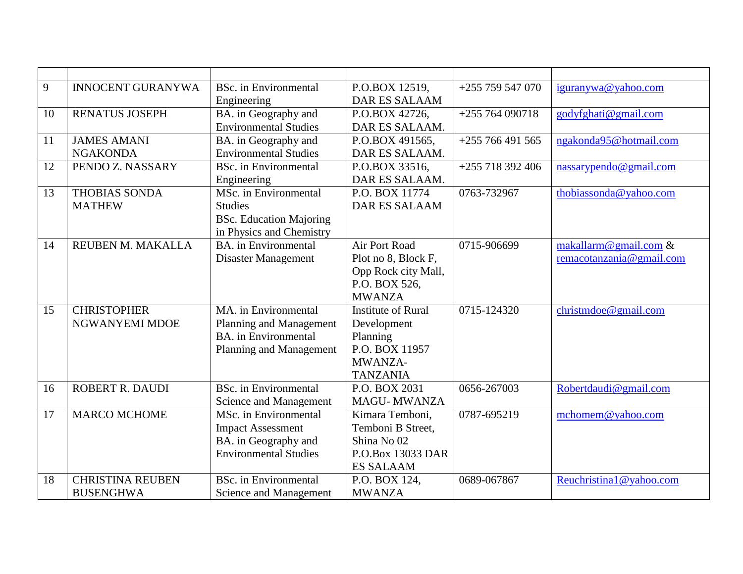| 9  | <b>INNOCENT GURANYWA</b> | <b>BSc.</b> in Environmental   | P.O.BOX 12519,            | $+255$ 759 547 070 | iguranywa@yahoo.com      |
|----|--------------------------|--------------------------------|---------------------------|--------------------|--------------------------|
|    |                          | Engineering                    | <b>DAR ES SALAAM</b>      |                    |                          |
| 10 | <b>RENATUS JOSEPH</b>    | BA. in Geography and           | P.O.BOX 42726,            | $+255764090718$    | godyfghati@gmail.com     |
|    |                          | <b>Environmental Studies</b>   | DAR ES SALAAM.            |                    |                          |
| 11 | <b>JAMES AMANI</b>       | BA. in Geography and           | P.O.BOX 491565,           | $+255766491565$    | ngakonda95@hotmail.com   |
|    | <b>NGAKONDA</b>          | <b>Environmental Studies</b>   | DAR ES SALAAM.            |                    |                          |
| 12 | PENDO Z. NASSARY         | <b>BSc.</b> in Environmental   | P.O.BOX 33516.            | +255 718 392 406   | nassarypendo@gmail.com   |
|    |                          | Engineering                    | DAR ES SALAAM.            |                    |                          |
| 13 | <b>THOBIAS SONDA</b>     | MSc. in Environmental          | P.O. BOX 11774            | 0763-732967        | thobiassonda@yahoo.com   |
|    | <b>MATHEW</b>            | <b>Studies</b>                 | <b>DAR ES SALAAM</b>      |                    |                          |
|    |                          | <b>BSc.</b> Education Majoring |                           |                    |                          |
|    |                          | in Physics and Chemistry       |                           |                    |                          |
| 14 | REUBEN M. MAKALLA        | <b>BA.</b> in Environmental    | Air Port Road             | 0715-906699        | makallarm@gmail.com &    |
|    |                          | Disaster Management            | Plot no 8, Block F,       |                    | remacotanzania@gmail.com |
|    |                          |                                | Opp Rock city Mall,       |                    |                          |
|    |                          |                                | P.O. BOX 526,             |                    |                          |
|    |                          |                                | <b>MWANZA</b>             |                    |                          |
| 15 | <b>CHRISTOPHER</b>       | MA, in Environmental           | <b>Institute of Rural</b> | 0715-124320        | christmdoe@gmail.com     |
|    | NGWANYEMI MDOE           | Planning and Management        | Development               |                    |                          |
|    |                          | <b>BA.</b> in Environmental    | Planning                  |                    |                          |
|    |                          | Planning and Management        | P.O. BOX 11957            |                    |                          |
|    |                          |                                | MWANZA-                   |                    |                          |
|    |                          |                                | <b>TANZANIA</b>           |                    |                          |
| 16 | ROBERT R. DAUDI          | <b>BSc.</b> in Environmental   | P.O. BOX 2031             | 0656-267003        | Robertdaudi@gmail.com    |
|    |                          | Science and Management         | <b>MAGU-MWANZA</b>        |                    |                          |
| 17 | <b>MARCO MCHOME</b>      | MSc. in Environmental          | Kimara Temboni,           | 0787-695219        | mchomem@yahoo.com        |
|    |                          | <b>Impact Assessment</b>       | Temboni B Street,         |                    |                          |
|    |                          | BA. in Geography and           | Shina No 02               |                    |                          |
|    |                          | <b>Environmental Studies</b>   | P.O.Box 13033 DAR         |                    |                          |
|    |                          |                                | <b>ES SALAAM</b>          |                    |                          |
| 18 | <b>CHRISTINA REUBEN</b>  | <b>BSc.</b> in Environmental   | P.O. BOX 124,             | 0689-067867        | Reuchristina1@yahoo.com  |
|    | <b>BUSENGHWA</b>         | Science and Management         | <b>MWANZA</b>             |                    |                          |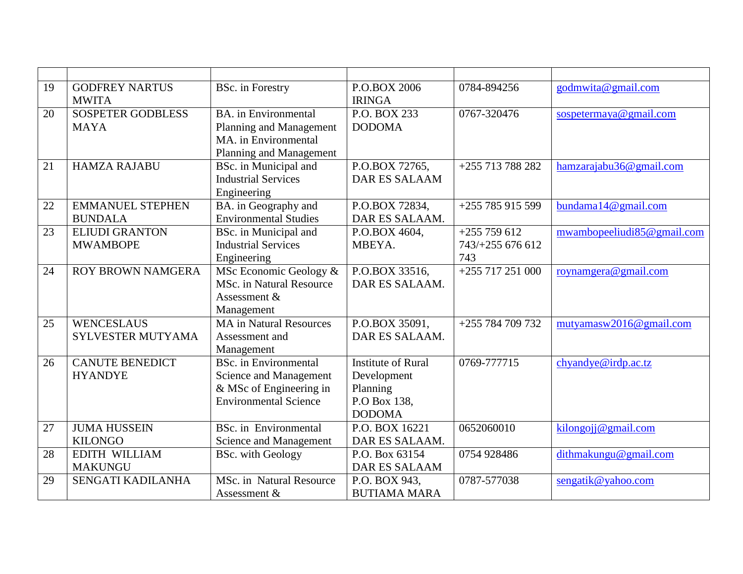| 19 | <b>GODFREY NARTUS</b><br><b>MWITA</b> | <b>BSc.</b> in Forestry                                                    | P.O.BOX 2006<br><b>IRINGA</b> | 0784-894256      | godmwita@gmail.com         |
|----|---------------------------------------|----------------------------------------------------------------------------|-------------------------------|------------------|----------------------------|
| 20 | <b>SOSPETER GODBLESS</b>              | <b>BA.</b> in Environmental                                                | P.O. BOX 233                  | 0767-320476      | sospetermaya@gmail.com     |
|    | <b>MAYA</b>                           | Planning and Management<br>MA. in Environmental<br>Planning and Management | <b>DODOMA</b>                 |                  |                            |
| 21 | <b>HAMZA RAJABU</b>                   | BSc. in Municipal and                                                      | P.O.BOX 72765.                | +255 713 788 282 | hamzarajabu36@gmail.com    |
|    |                                       | <b>Industrial Services</b>                                                 | <b>DAR ES SALAAM</b>          |                  |                            |
|    |                                       | Engineering                                                                |                               |                  |                            |
| 22 | <b>EMMANUEL STEPHEN</b>               | BA. in Geography and                                                       | P.O.BOX 72834,                | $+255785915599$  | bundama $14@$ gmail.com    |
|    | <b>BUNDALA</b>                        | <b>Environmental Studies</b>                                               | DAR ES SALAAM.                |                  |                            |
| 23 | <b>ELIUDI GRANTON</b>                 | BSc. in Municipal and                                                      | P.O.BOX 4604,                 | $+255759612$     | mwambopeeliudi85@gmail.com |
|    | <b>MWAMBOPE</b>                       | <b>Industrial Services</b>                                                 | MBEYA.                        | 743/+255 676 612 |                            |
|    |                                       | Engineering                                                                |                               | 743              |                            |
| 24 | <b>ROY BROWN NAMGERA</b>              | MSc Economic Geology &                                                     | P.O.BOX 33516,                | $+255717251000$  | roynamgera@gmail.com       |
|    |                                       | MSc. in Natural Resource                                                   | DAR ES SALAAM.                |                  |                            |
|    |                                       | Assessment &                                                               |                               |                  |                            |
|    |                                       | Management                                                                 |                               |                  |                            |
| 25 | <b>WENCESLAUS</b>                     | <b>MA</b> in Natural Resources                                             | P.O.BOX 35091.                | +255 784 709 732 | mutyamasw2016@gmail.com    |
|    | <b>SYLVESTER MUTYAMA</b>              | Assessment and                                                             | DAR ES SALAAM.                |                  |                            |
|    |                                       | Management                                                                 |                               |                  |                            |
| 26 | <b>CANUTE BENEDICT</b>                | <b>BSc.</b> in Environmental                                               | <b>Institute of Rural</b>     | 0769-777715      | chy and ye@irdp.ac.tz      |
|    | <b>HYANDYE</b>                        | Science and Management                                                     | Development                   |                  |                            |
|    |                                       | & MSc of Engineering in                                                    | Planning                      |                  |                            |
|    |                                       | <b>Environmental Science</b>                                               | P.O Box 138,                  |                  |                            |
|    |                                       |                                                                            | <b>DODOMA</b>                 |                  |                            |
| 27 | <b>JUMA HUSSEIN</b>                   | <b>BSc.</b> in Environmental                                               | P.O. BOX 16221                | 0652060010       | kilongojj@gmail.com        |
|    | <b>KILONGO</b>                        | Science and Management                                                     | DAR ES SALAAM.                |                  |                            |
| 28 | <b>EDITH WILLIAM</b>                  | <b>BSc.</b> with Geology                                                   | P.O. Box 63154                | 0754 928486      | dithmakungu@gmail.com      |
|    | <b>MAKUNGU</b>                        |                                                                            | <b>DAR ES SALAAM</b>          |                  |                            |
| 29 | SENGATI KADILANHA                     | MSc. in Natural Resource                                                   | P.O. BOX 943,                 | 0787-577038      | sengatik@yahoo.com         |
|    |                                       | Assessment &                                                               | <b>BUTIAMA MARA</b>           |                  |                            |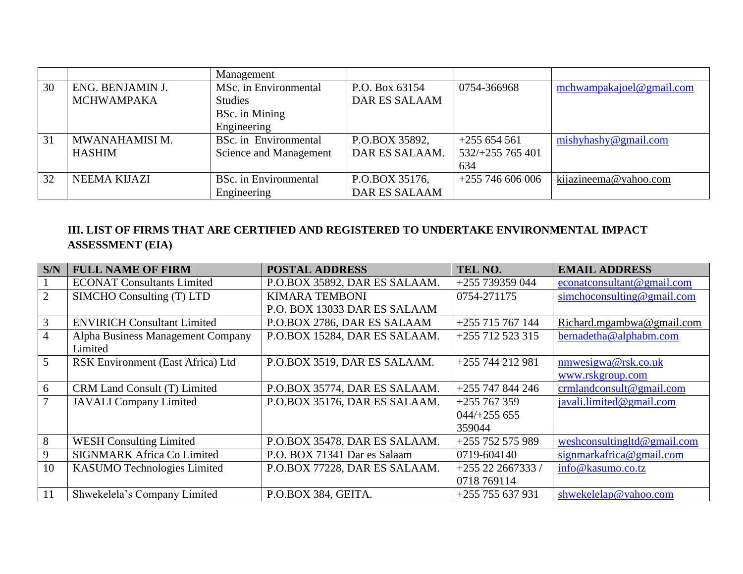|    |                     | Management                   |                      |                    |                          |
|----|---------------------|------------------------------|----------------------|--------------------|--------------------------|
| 30 | ENG. BENJAMIN J.    | MSc. in Environmental        | P.O. Box 63154       | 0754-366968        | mchwampakajoel@gmail.com |
|    | <b>MCHWAMPAKA</b>   | <b>Studies</b>               | <b>DAR ES SALAAM</b> |                    |                          |
|    |                     | BSc. in Mining               |                      |                    |                          |
|    |                     | Engineering                  |                      |                    |                          |
| 31 | MWANAHAMISI M.      | BSc. in Environmental        | P.O.BOX 35892,       | $+255654561$       | mishyhashy@gmail.com     |
|    | <b>HASHIM</b>       | Science and Management       | DAR ES SALAAM.       | 532/+255 765 401   |                          |
|    |                     |                              |                      | 634                |                          |
| 32 | <b>NEEMA KIJAZI</b> | <b>BSc.</b> in Environmental | P.O.BOX 35176,       | $+255$ 746 606 006 | kijazineema@yahoo.com    |
|    |                     | Engineering                  | <b>DAR ES SALAAM</b> |                    |                          |

## **III. LIST OF FIRMS THAT ARE CERTIFIED AND REGISTERED TO UNDERTAKE ENVIRONMENTAL IMPACT ASSESSMENT (EIA)**

| S/N             | <b>FULL NAME OF FIRM</b>           | <b>POSTAL ADDRESS</b>         | TEL NO.             | <b>EMAIL ADDRESS</b>          |
|-----------------|------------------------------------|-------------------------------|---------------------|-------------------------------|
|                 | <b>ECONAT Consultants Limited</b>  | P.O.BOX 35892, DAR ES SALAAM. | +255 739359 044     | econations ultant @ gmail.com |
| $\overline{2}$  | SIMCHO Consulting (T) LTD          | <b>KIMARA TEMBONI</b>         | 0754-271175         | simchoconsulting@gmail.com    |
|                 |                                    | P.O. BOX 13033 DAR ES SALAAM  |                     |                               |
| 3               | <b>ENVIRICH Consultant Limited</b> | P.O.BOX 2786, DAR ES SALAAM   | $+255$ 715 767 144  | Richard.mgambwa@gmail.com     |
| $\overline{4}$  | Alpha Business Management Company  | P.O.BOX 15284, DAR ES SALAAM. | $+255$ 712 523 315  | bernadetha@alphabm.com        |
|                 | Limited                            |                               |                     |                               |
| $5\overline{)}$ | RSK Environment (East Africa) Ltd  | P.O.BOX 3519, DAR ES SALAAM.  | $+255744212981$     | nmwesigwa@rsk.co.uk           |
|                 |                                    |                               |                     | www.rskgroup.com              |
| 6               | CRM Land Consult (T) Limited       | P.O.BOX 35774, DAR ES SALAAM. | $+255$ 747 844 246  | crmlandconsult@gmail.com      |
| 7               | <b>JAVALI</b> Company Limited      | P.O.BOX 35176, DAR ES SALAAM. | $+255767359$        | javali.limited@gmail.com      |
|                 |                                    |                               | $044/+255655$       |                               |
|                 |                                    |                               | 359044              |                               |
| 8               | <b>WESH Consulting Limited</b>     | P.O.BOX 35478, DAR ES SALAAM. | +255 752 575 989    | weshconsultingltd@gmail.com   |
| 9               | <b>SIGNMARK Africa Co Limited</b>  | P.O. BOX 71341 Dar es Salaam  | 0719-604140         | signmarkafrica@gmail.com      |
| 10              | <b>KASUMO</b> Technologies Limited | P.O.BOX 77228, DAR ES SALAAM. | $+255$ 22 2667333 / | info@kasumo.co.tz             |
|                 |                                    |                               | 0718 769114         |                               |
| 11              | Shwekelela's Company Limited       | P.O.BOX 384, GEITA.           | $+255755637931$     | shwekelelap@yahoo.com         |